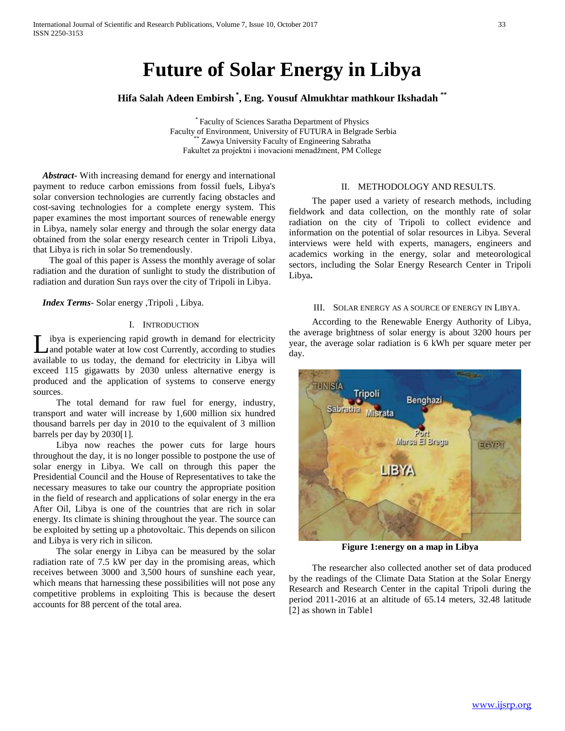# **Future of Solar Energy in Libya**

**Hifa Salah Adeen Embirsh \* , Eng. Yousuf Almukhtar mathkour Ikshadah \*\***

\* Faculty of Sciences Saratha Department of Physics Faculty of Environment, University of FUTURA in Belgrade Serbia Zawya University Faculty of Engineering Sabratha Fakultet za projektni i inovacioni menadžment, PM College

 *Abstract***-** With increasing demand for energy and international payment to reduce carbon emissions from fossil fuels, Libya's solar conversion technologies are currently facing obstacles and cost-saving technologies for a complete energy system. This paper examines the most important sources of renewable energy in Libya, namely solar energy and through the solar energy data obtained from the solar energy research center in Tripoli Libya, that Libya is rich in solar So tremendously.

 The goal of this paper is Assess the monthly average of solar radiation and the duration of sunlight to study the distribution of radiation and duration Sun rays over the city of Tripoli in Libya.

 *Index Terms*- Solar energy ,Tripoli , Libya.

#### I. INTRODUCTION

ibya is experiencing rapid growth in demand for electricity and potable water at low cost Currently, according to studies L ibya is experiencing rapid growth in demand for electricity and potable water at low cost Currently, according to studies available to us today, the demand for electricity in Libya will exceed 115 gigawatts by 2030 unless alternative energy is produced and the application of systems to conserve energy sources.

 The total demand for raw fuel for energy, industry, transport and water will increase by 1,600 million six hundred thousand barrels per day in 2010 to the equivalent of 3 million barrels per day by 2030[1].

 Libya now reaches the power cuts for large hours throughout the day, it is no longer possible to postpone the use of solar energy in Libya. We call on through this paper the Presidential Council and the House of Representatives to take the necessary measures to take our country the appropriate position in the field of research and applications of solar energy in the era After Oil, Libya is one of the countries that are rich in solar energy. Its climate is shining throughout the year. The source can be exploited by setting up a photovoltaic. This depends on silicon and Libya is very rich in silicon.

 The solar energy in Libya can be measured by the solar radiation rate of 7.5 kW per day in the promising areas, which receives between 3000 and 3,500 hours of sunshine each year, which means that harnessing these possibilities will not pose any competitive problems in exploiting This is because the desert accounts for 88 percent of the total area.

#### II. METHODOLOGY AND RESULTS.

 The paper used a variety of research methods, including fieldwork and data collection, on the monthly rate of solar radiation on the city of Tripoli to collect evidence and information on the potential of solar resources in Libya. Several interviews were held with experts, managers, engineers and academics working in the energy, solar and meteorological sectors, including the Solar Energy Research Center in Tripoli Libya**.**

#### III. SOLAR ENERGY AS A SOURCE OF ENERGY IN LIBYA.

 According to the Renewable Energy Authority of Libya, the average brightness of solar energy is about 3200 hours per year, the average solar radiation is 6 kWh per square meter per day.



**Figure 1:energy on a map in Libya**

 The researcher also collected another set of data produced by the readings of the Climate Data Station at the Solar Energy Research and Research Center in the capital Tripoli during the period 2011-2016 at an altitude of 65.14 meters, 32.48 latitude [2] as shown in Table1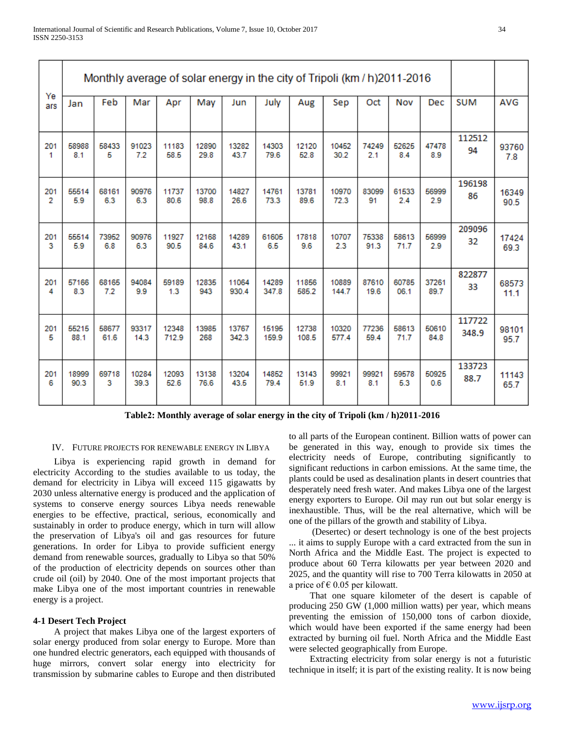|                | Monthly average of solar energy in the city of Tripoli (km / h) 2011-2016 |       |       |       |       |       |       |       |       |       |       |       |            |       |
|----------------|---------------------------------------------------------------------------|-------|-------|-------|-------|-------|-------|-------|-------|-------|-------|-------|------------|-------|
| Ye<br>ars      | Jan                                                                       | Feb   | Mar   | Apr   | May   | Jun   | July  | Aug   | Sep   | Oct   | Nov   | Dec   | <b>SUM</b> | AVG   |
| 201            | 58988                                                                     | 58433 | 91023 | 11183 | 12890 | 13282 | 14303 | 12120 | 10452 | 74249 | 52625 | 47478 | 112512     | 93760 |
| 1              | 8.1                                                                       | 5     | 7.2   | 58.5  | 29.8  | 43.7  | 79.6  | 52.8  | 30.2  | 2.1   | 8.4   | 8.9   | 94         | 7.8   |
| 201            | 55514                                                                     | 68161 | 90976 | 11737 | 13700 | 14827 | 14761 | 13781 | 10970 | 83099 | 61533 | 56999 | 196198     | 16349 |
| $\overline{2}$ | 5.9                                                                       | 6.3   | 6.3   | 80.6  | 98.8  | 26.6  | 73.3  | 89.6  | 72.3  | 91    | 2.4   | 2.9   | 86         | 90.5  |
| 201            | 55514                                                                     | 73952 | 90976 | 11927 | 12168 | 14289 | 61605 | 17818 | 10707 | 75338 | 58613 | 56999 | 209096     | 17424 |
| 3              | 5.9                                                                       | 6.8   | 6.3   | 90.5  | 84.6  | 43.1  | 6.5   | 9.6   | 2.3   | 91.3  | 71.7  | 2.9   | 32         | 69.3  |
| 201            | 57166                                                                     | 68165 | 94084 | 59189 | 12835 | 11064 | 14289 | 11856 | 10889 | 87610 | 60785 | 37261 | 822877     | 68573 |
| 4              | 8.3                                                                       | 7.2   | 9.9   | 1.3   | 943   | 930.4 | 347.8 | 585.2 | 144.7 | 19.6  | 06.1  | 89.7  | 33         | 11.1  |
| 201            | 55215                                                                     | 58677 | 93317 | 12348 | 13985 | 13767 | 15195 | 12738 | 10320 | 77236 | 58613 | 50610 | 117722     | 98101 |
| 5              | 88.1                                                                      | 61.6  | 14.3  | 712.9 | 268   | 342.3 | 159.9 | 108.5 | 577.4 | 59.4  | 71.7  | 84.8  | 348.9      | 95.7  |
| 201            | 18999                                                                     | 69718 | 10284 | 12093 | 13138 | 13204 | 14852 | 13143 | 99921 | 99921 | 59578 | 50925 | 133723     | 11143 |
| 6              | 90.3                                                                      | 3     | 39.3  | 52.6  | 76.6  | 43.5  | 79.4  | 51.9  | 8.1   | 8.1   | 5.3   | 0.6   | 88.7       | 65.7  |

**Table2: Monthly average of solar energy in the city of Tripoli (km / h)2011-2016**

## IV. FUTURE PROJECTS FOR RENEWABLE ENERGY IN LIBYA

 Libya is experiencing rapid growth in demand for electricity According to the studies available to us today, the demand for electricity in Libya will exceed 115 gigawatts by 2030 unless alternative energy is produced and the application of systems to conserve energy sources Libya needs renewable energies to be effective, practical, serious, economically and sustainably in order to produce energy, which in turn will allow the preservation of Libya's oil and gas resources for future generations. In order for Libya to provide sufficient energy demand from renewable sources, gradually to Libya so that 50% of the production of electricity depends on sources other than crude oil (oil) by 2040. One of the most important projects that make Libya one of the most important countries in renewable energy is a project.

## **4-1 Desert Tech Project**

 A project that makes Libya one of the largest exporters of solar energy produced from solar energy to Europe. More than one hundred electric generators, each equipped with thousands of huge mirrors, convert solar energy into electricity for transmission by submarine cables to Europe and then distributed

to all parts of the European continent. Billion watts of power can be generated in this way, enough to provide six times the electricity needs of Europe, contributing significantly to significant reductions in carbon emissions. At the same time, the plants could be used as desalination plants in desert countries that desperately need fresh water. And makes Libya one of the largest energy exporters to Europe. Oil may run out but solar energy is inexhaustible. Thus, will be the real alternative, which will be one of the pillars of the growth and stability of Libya.

 (Desertec) or desert technology is one of the best projects ... it aims to supply Europe with a card extracted from the sun in North Africa and the Middle East. The project is expected to produce about 60 Terra kilowatts per year between 2020 and 2025, and the quantity will rise to 700 Terra kilowatts in 2050 at a price of  $\epsilon$  0.05 per kilowatt.

 That one square kilometer of the desert is capable of producing 250 GW (1,000 million watts) per year, which means preventing the emission of 150,000 tons of carbon dioxide, which would have been exported if the same energy had been extracted by burning oil fuel. North Africa and the Middle East were selected geographically from Europe.

 Extracting electricity from solar energy is not a futuristic technique in itself; it is part of the existing reality. It is now being